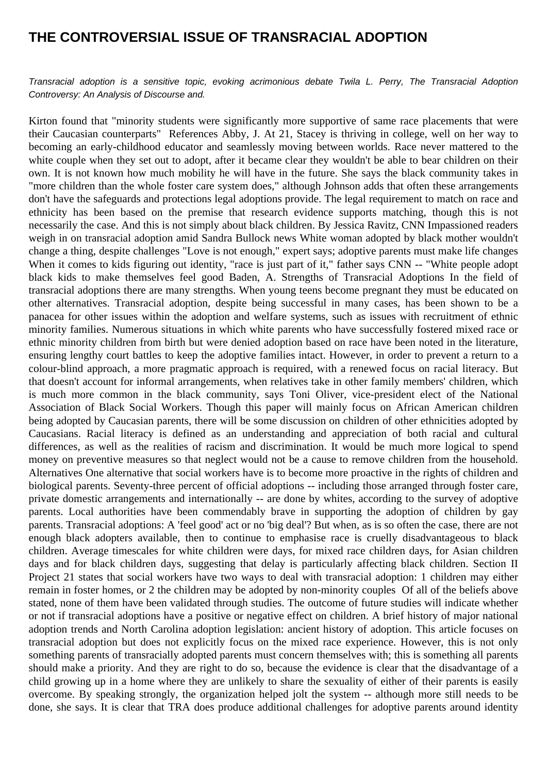## **THE CONTROVERSIAL ISSUE OF TRANSRACIAL ADOPTION**

Transracial adoption is a sensitive topic, evoking acrimonious debate Twila L. Perry, The Transracial Adoption Controversy: An Analysis of Discourse and.

Kirton found that "minority students were significantly more supportive of same race placements that were their Caucasian counterparts" References Abby, J. At 21, Stacey is thriving in college, well on her way to becoming an early-childhood educator and seamlessly moving between worlds. Race never mattered to the white couple when they set out to adopt, after it became clear they wouldn't be able to bear children on their own. It is not known how much mobility he will have in the future. She says the black community takes in "more children than the whole foster care system does," although Johnson adds that often these arrangements don't have the safeguards and protections legal adoptions provide. The legal requirement to match on race and ethnicity has been based on the premise that research evidence supports matching, though this is not necessarily the case. And this is not simply about black children. By Jessica Ravitz, CNN Impassioned readers weigh in on transracial adoption amid Sandra Bullock news White woman adopted by black mother wouldn't change a thing, despite challenges "Love is not enough," expert says; adoptive parents must make life changes When it comes to kids figuring out identity, "race is just part of it," father says CNN -- "White people adopt black kids to make themselves feel good Baden, A. Strengths of Transracial Adoptions In the field of transracial adoptions there are many strengths. When young teens become pregnant they must be educated on other alternatives. Transracial adoption, despite being successful in many cases, has been shown to be a panacea for other issues within the adoption and welfare systems, such as issues with recruitment of ethnic minority families. Numerous situations in which white parents who have successfully fostered mixed race or ethnic minority children from birth but were denied adoption based on race have been noted in the literature, ensuring lengthy court battles to keep the adoptive families intact. However, in order to prevent a return to a colour-blind approach, a more pragmatic approach is required, with a renewed focus on racial literacy. But that doesn't account for informal arrangements, when relatives take in other family members' children, which is much more common in the black community, says Toni Oliver, vice-president elect of the National Association of Black Social Workers. Though this paper will mainly focus on African American children being adopted by Caucasian parents, there will be some discussion on children of other ethnicities adopted by Caucasians. Racial literacy is defined as an understanding and appreciation of both racial and cultural differences, as well as the realities of racism and discrimination. It would be much more logical to spend money on preventive measures so that neglect would not be a cause to remove children from the household. Alternatives One alternative that social workers have is to become more proactive in the rights of children and biological parents. Seventy-three percent of official adoptions -- including those arranged through foster care, private domestic arrangements and internationally -- are done by whites, according to the survey of adoptive parents. Local authorities have been commendably brave in supporting the adoption of children by gay parents. Transracial adoptions: A 'feel good' act or no 'big deal'? But when, as is so often the case, there are not enough black adopters available, then to continue to emphasise race is cruelly disadvantageous to black children. Average timescales for white children were days, for mixed race children days, for Asian children days and for black children days, suggesting that delay is particularly affecting black children. Section II Project 21 states that social workers have two ways to deal with transracial adoption: 1 children may either remain in foster homes, or 2 the children may be adopted by non-minority couples Of all of the beliefs above stated, none of them have been validated through studies. The outcome of future studies will indicate whether or not if transracial adoptions have a positive or negative effect on children. A brief history of major national adoption trends and North Carolina adoption legislation: ancient history of adoption. This article focuses on transracial adoption but does not explicitly focus on the mixed race experience. However, this is not only something parents of transracially adopted parents must concern themselves with; this is something all parents should make a priority. And they are right to do so, because the evidence is clear that the disadvantage of a child growing up in a home where they are unlikely to share the sexuality of either of their parents is easily overcome. By speaking strongly, the organization helped jolt the system -- although more still needs to be done, she says. It is clear that TRA does produce additional challenges for adoptive parents around identity